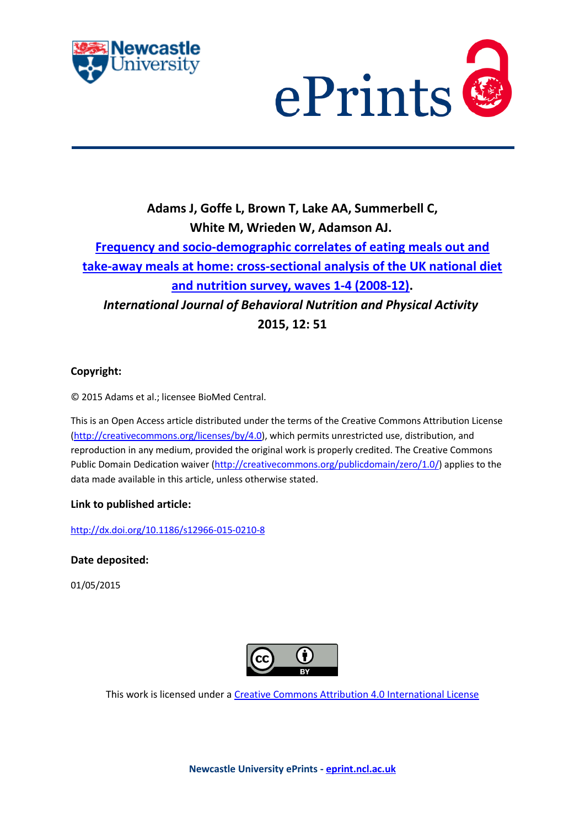



## **Adams J, Goffe L, Brown T, Lake AA, Summerbell C, White M, Wrieden W, Adamson AJ. [Frequency and socio-demographic correlates of eating meals out and](javascript:ViewPublication(212704);)  [take-away meals at home: cross-sectional analysis of the UK national diet](javascript:ViewPublication(212704);)  [and nutrition survey, waves 1-4 \(2008-12\).](javascript:ViewPublication(212704);)** *International Journal of Behavioral Nutrition and Physical Activity* **2015, 12: 51**

### **Copyright:**

© 2015 Adams et al.; licensee BioMed Central.

This is an Open Access article distributed under the terms of the Creative Commons Attribution License [\(http://creativecommons.org/licenses/by/4.0\)](http://creativecommons.org/licenses/by/4.0), which permits unrestricted use, distribution, and reproduction in any medium, provided the original work is properly credited. The Creative Commons Public Domain Dedication waiver [\(http://creativecommons.org/publicdomain/zero/1.0/\)](http://creativecommons.org/publicdomain/zero/1.0/) applies to the data made available in this article, unless otherwise stated.

#### **Link to published article:**

<http://dx.doi.org/10.1186/s12966-015-0210-8>

**Date deposited:** 

01/05/2015



This work is licensed under [a Creative Commons Attribution 4.0 International License](http://creativecommons.org/licenses/by/4.0/)

**Newcastle University ePrints - [eprint.ncl.ac.uk](http://eprint.ncl.ac.uk/)**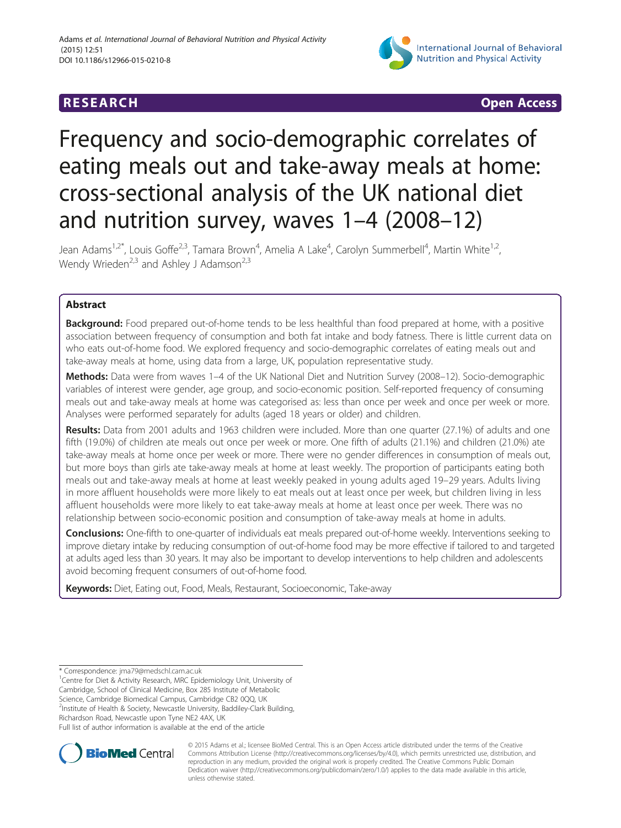

**RESEARCH RESEARCH** *CHECK CHECK CHECK CHECK CHECK CHECK CHECK CHECK CHECK CHECK CHECK CHECK CHECK CHECK CHECK CHECK CHECK CHECK CHECK CHECK CHECK CHECK CHECK CHECK CHECK CHECK CHECK CHECK CHECK CHECK CHECK CHECK CHECK* 

# Frequency and socio-demographic correlates of eating meals out and take-away meals at home: cross-sectional analysis of the UK national diet and nutrition survey, waves 1–4 (2008–12)

Jean Adams<sup>1,2\*</sup>, Louis Goffe<sup>2,3</sup>, Tamara Brown<sup>4</sup>, Amelia A Lake<sup>4</sup>, Carolyn Summerbell<sup>4</sup>, Martin White<sup>1,2</sup>, Wendy Wrieden<sup>2,3</sup> and Ashley J Adamson<sup>2,3</sup>

#### Abstract

Background: Food prepared out-of-home tends to be less healthful than food prepared at home, with a positive association between frequency of consumption and both fat intake and body fatness. There is little current data on who eats out-of-home food. We explored frequency and socio-demographic correlates of eating meals out and take-away meals at home, using data from a large, UK, population representative study.

Methods: Data were from waves 1–4 of the UK National Diet and Nutrition Survey (2008–12). Socio-demographic variables of interest were gender, age group, and socio-economic position. Self-reported frequency of consuming meals out and take-away meals at home was categorised as: less than once per week and once per week or more. Analyses were performed separately for adults (aged 18 years or older) and children.

Results: Data from 2001 adults and 1963 children were included. More than one quarter (27.1%) of adults and one fifth (19.0%) of children ate meals out once per week or more. One fifth of adults (21.1%) and children (21.0%) ate take-away meals at home once per week or more. There were no gender differences in consumption of meals out, but more boys than girls ate take-away meals at home at least weekly. The proportion of participants eating both meals out and take-away meals at home at least weekly peaked in young adults aged 19–29 years. Adults living in more affluent households were more likely to eat meals out at least once per week, but children living in less affluent households were more likely to eat take-away meals at home at least once per week. There was no relationship between socio-economic position and consumption of take-away meals at home in adults.

Conclusions: One-fifth to one-quarter of individuals eat meals prepared out-of-home weekly. Interventions seeking to improve dietary intake by reducing consumption of out-of-home food may be more effective if tailored to and targeted at adults aged less than 30 years. It may also be important to develop interventions to help children and adolescents avoid becoming frequent consumers of out-of-home food.

Keywords: Diet, Eating out, Food, Meals, Restaurant, Socioeconomic, Take-away

\* Correspondence: [jma79@medschl.cam.ac.uk](mailto:jma79@medschl.cam.ac.uk) <sup>1</sup>

<sup>1</sup> Centre for Diet & Activity Research, MRC Epidemiology Unit, University of Cambridge, School of Clinical Medicine, Box 285 Institute of Metabolic Science, Cambridge Biomedical Campus, Cambridge CB2 0QQ, UK <sup>2</sup>Institute of Health & Society, Newcastle University, Baddiley-Clark Building, Richardson Road, Newcastle upon Tyne NE2 4AX, UK

Full list of author information is available at the end of the article



© 2015 Adams et al.; licensee BioMed Central. This is an Open Access article distributed under the terms of the Creative Commons Attribution License [\(http://creativecommons.org/licenses/by/4.0\)](http://creativecommons.org/licenses/by/4.0), which permits unrestricted use, distribution, and reproduction in any medium, provided the original work is properly credited. The Creative Commons Public Domain Dedication waiver [\(http://creativecommons.org/publicdomain/zero/1.0/](http://creativecommons.org/publicdomain/zero/1.0/)) applies to the data made available in this article, unless otherwise stated.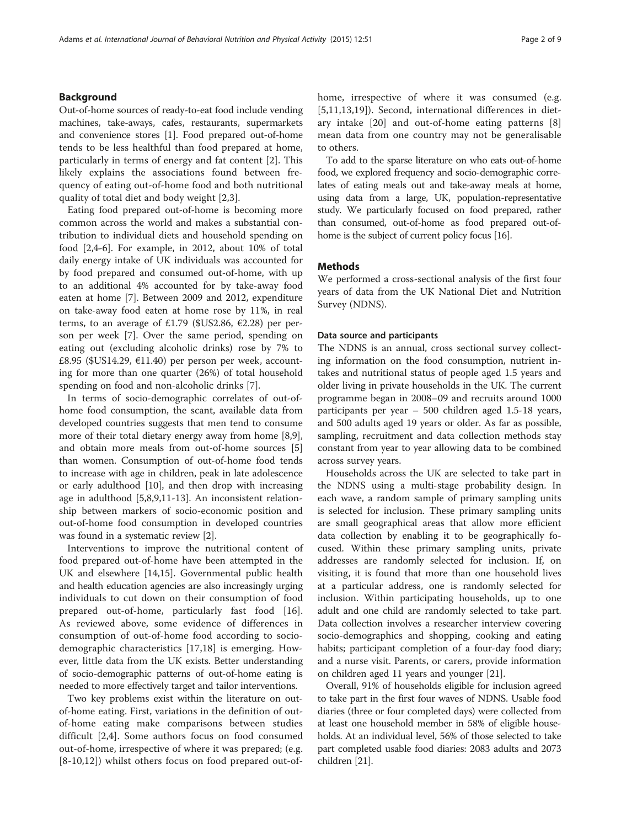#### Background

Out-of-home sources of ready-to-eat food include vending machines, take-aways, cafes, restaurants, supermarkets and convenience stores [[1\]](#page-8-0). Food prepared out-of-home tends to be less healthful than food prepared at home, particularly in terms of energy and fat content [\[2](#page-8-0)]. This likely explains the associations found between frequency of eating out-of-home food and both nutritional quality of total diet and body weight [[2,3](#page-8-0)].

Eating food prepared out-of-home is becoming more common across the world and makes a substantial contribution to individual diets and household spending on food [[2,4-6](#page-8-0)]. For example, in 2012, about 10% of total daily energy intake of UK individuals was accounted for by food prepared and consumed out-of-home, with up to an additional 4% accounted for by take-away food eaten at home [[7\]](#page-8-0). Between 2009 and 2012, expenditure on take-away food eaten at home rose by 11%, in real terms, to an average of £1.79 (\$US2.86,  $E$ 2.28) per person per week [\[7](#page-8-0)]. Over the same period, spending on eating out (excluding alcoholic drinks) rose by 7% to £8.95 (\$US14.29, €11.40) per person per week, accounting for more than one quarter (26%) of total household spending on food and non-alcoholic drinks [[7\]](#page-8-0).

In terms of socio-demographic correlates of out-ofhome food consumption, the scant, available data from developed countries suggests that men tend to consume more of their total dietary energy away from home [\[8](#page-8-0)[,9](#page-9-0)], and obtain more meals from out-of-home sources [\[5](#page-8-0)] than women. Consumption of out-of-home food tends to increase with age in children, peak in late adolescence or early adulthood [\[10](#page-9-0)], and then drop with increasing age in adulthood [[5,8,](#page-8-0)[9,11-13\]](#page-9-0). An inconsistent relationship between markers of socio-economic position and out-of-home food consumption in developed countries was found in a systematic review [[2\]](#page-8-0).

Interventions to improve the nutritional content of food prepared out-of-home have been attempted in the UK and elsewhere [[14,15](#page-9-0)]. Governmental public health and health education agencies are also increasingly urging individuals to cut down on their consumption of food prepared out-of-home, particularly fast food [[16](#page-9-0)]. As reviewed above, some evidence of differences in consumption of out-of-home food according to sociodemographic characteristics [[17,18](#page-9-0)] is emerging. However, little data from the UK exists. Better understanding of socio-demographic patterns of out-of-home eating is needed to more effectively target and tailor interventions.

Two key problems exist within the literature on outof-home eating. First, variations in the definition of outof-home eating make comparisons between studies difficult [[2,4](#page-8-0)]. Some authors focus on food consumed out-of-home, irrespective of where it was prepared; (e.g. [[8-](#page-8-0)[10,12\]](#page-9-0)) whilst others focus on food prepared out-ofhome, irrespective of where it was consumed (e.g. [[5](#page-8-0)[,11](#page-9-0),[13,19\]](#page-9-0)). Second, international differences in dietary intake [[20\]](#page-9-0) and out-of-home eating patterns [\[8](#page-8-0)] mean data from one country may not be generalisable to others.

To add to the sparse literature on who eats out-of-home food, we explored frequency and socio-demographic correlates of eating meals out and take-away meals at home, using data from a large, UK, population-representative study. We particularly focused on food prepared, rather than consumed, out-of-home as food prepared out-ofhome is the subject of current policy focus [[16](#page-9-0)].

#### **Methods**

We performed a cross-sectional analysis of the first four years of data from the UK National Diet and Nutrition Survey (NDNS).

#### Data source and participants

The NDNS is an annual, cross sectional survey collecting information on the food consumption, nutrient intakes and nutritional status of people aged 1.5 years and older living in private households in the UK. The current programme began in 2008–09 and recruits around 1000 participants per year – 500 children aged 1.5-18 years, and 500 adults aged 19 years or older. As far as possible, sampling, recruitment and data collection methods stay constant from year to year allowing data to be combined across survey years.

Households across the UK are selected to take part in the NDNS using a multi-stage probability design. In each wave, a random sample of primary sampling units is selected for inclusion. These primary sampling units are small geographical areas that allow more efficient data collection by enabling it to be geographically focused. Within these primary sampling units, private addresses are randomly selected for inclusion. If, on visiting, it is found that more than one household lives at a particular address, one is randomly selected for inclusion. Within participating households, up to one adult and one child are randomly selected to take part. Data collection involves a researcher interview covering socio-demographics and shopping, cooking and eating habits; participant completion of a four-day food diary; and a nurse visit. Parents, or carers, provide information on children aged 11 years and younger [[21\]](#page-9-0).

Overall, 91% of households eligible for inclusion agreed to take part in the first four waves of NDNS. Usable food diaries (three or four completed days) were collected from at least one household member in 58% of eligible households. At an individual level, 56% of those selected to take part completed usable food diaries: 2083 adults and 2073 children [\[21\]](#page-9-0).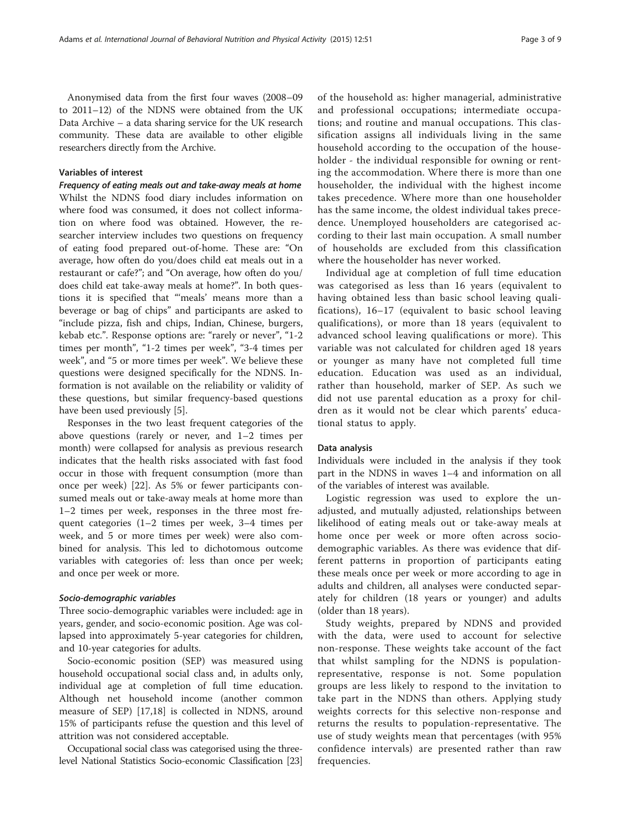Anonymised data from the first four waves (2008–09 to 2011–12) of the NDNS were obtained from the UK Data Archive – a data sharing service for the UK research community. These data are available to other eligible researchers directly from the Archive.

#### Variables of interest

Frequency of eating meals out and take-away meals at home Whilst the NDNS food diary includes information on where food was consumed, it does not collect information on where food was obtained. However, the researcher interview includes two questions on frequency of eating food prepared out-of-home. These are: "On average, how often do you/does child eat meals out in a restaurant or cafe?"; and "On average, how often do you/ does child eat take-away meals at home?". In both questions it is specified that "'meals' means more than a beverage or bag of chips" and participants are asked to "include pizza, fish and chips, Indian, Chinese, burgers, kebab etc.". Response options are: "rarely or never", "1-2 times per month", "1-2 times per week", "3-4 times per week", and "5 or more times per week". We believe these questions were designed specifically for the NDNS. Information is not available on the reliability or validity of these questions, but similar frequency-based questions have been used previously [[5\]](#page-8-0).

Responses in the two least frequent categories of the above questions (rarely or never, and 1–2 times per month) were collapsed for analysis as previous research indicates that the health risks associated with fast food occur in those with frequent consumption (more than once per week) [\[22](#page-9-0)]. As 5% or fewer participants consumed meals out or take-away meals at home more than 1–2 times per week, responses in the three most frequent categories (1–2 times per week, 3–4 times per week, and 5 or more times per week) were also combined for analysis. This led to dichotomous outcome variables with categories of: less than once per week; and once per week or more.

#### Socio-demographic variables

Three socio-demographic variables were included: age in years, gender, and socio-economic position. Age was collapsed into approximately 5-year categories for children, and 10-year categories for adults.

Socio-economic position (SEP) was measured using household occupational social class and, in adults only, individual age at completion of full time education. Although net household income (another common measure of SEP) [\[17,18](#page-9-0)] is collected in NDNS, around 15% of participants refuse the question and this level of attrition was not considered acceptable.

Occupational social class was categorised using the threelevel National Statistics Socio-economic Classification [\[23](#page-9-0)]

of the household as: higher managerial, administrative and professional occupations; intermediate occupations; and routine and manual occupations. This classification assigns all individuals living in the same household according to the occupation of the householder - the individual responsible for owning or renting the accommodation. Where there is more than one householder, the individual with the highest income takes precedence. Where more than one householder has the same income, the oldest individual takes precedence. Unemployed householders are categorised according to their last main occupation. A small number of households are excluded from this classification where the householder has never worked.

Individual age at completion of full time education was categorised as less than 16 years (equivalent to having obtained less than basic school leaving qualifications), 16–17 (equivalent to basic school leaving qualifications), or more than 18 years (equivalent to advanced school leaving qualifications or more). This variable was not calculated for children aged 18 years or younger as many have not completed full time education. Education was used as an individual, rather than household, marker of SEP. As such we did not use parental education as a proxy for children as it would not be clear which parents' educational status to apply.

#### Data analysis

Individuals were included in the analysis if they took part in the NDNS in waves 1–4 and information on all of the variables of interest was available.

Logistic regression was used to explore the unadjusted, and mutually adjusted, relationships between likelihood of eating meals out or take-away meals at home once per week or more often across sociodemographic variables. As there was evidence that different patterns in proportion of participants eating these meals once per week or more according to age in adults and children, all analyses were conducted separately for children (18 years or younger) and adults (older than 18 years).

Study weights, prepared by NDNS and provided with the data, were used to account for selective non-response. These weights take account of the fact that whilst sampling for the NDNS is populationrepresentative, response is not. Some population groups are less likely to respond to the invitation to take part in the NDNS than others. Applying study weights corrects for this selective non-response and returns the results to population-representative. The use of study weights mean that percentages (with 95% confidence intervals) are presented rather than raw frequencies.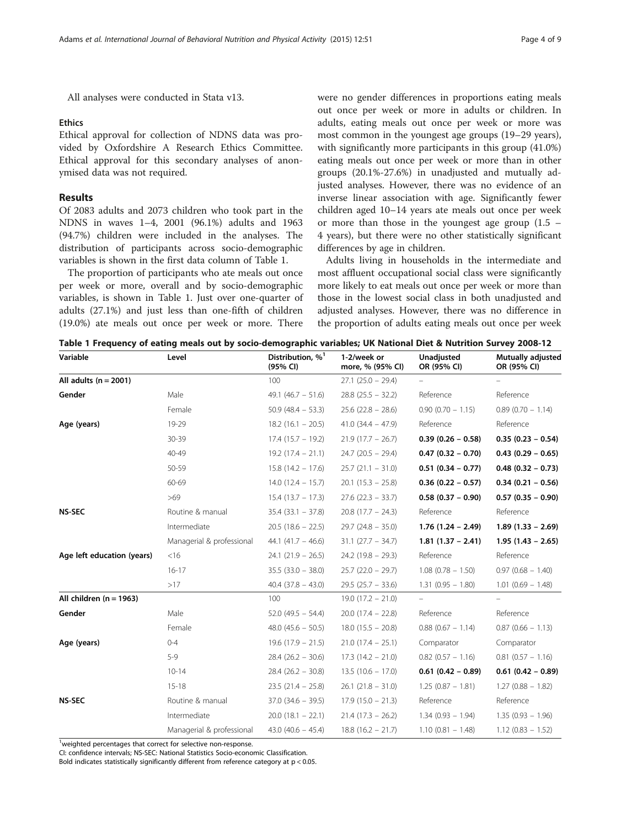All analyses were conducted in Stata v13.

#### **Ethics**

Ethical approval for collection of NDNS data was provided by Oxfordshire A Research Ethics Committee. Ethical approval for this secondary analyses of anonymised data was not required.

#### Results

Of 2083 adults and 2073 children who took part in the NDNS in waves 1–4, 2001 (96.1%) adults and 1963 (94.7%) children were included in the analyses. The distribution of participants across socio-demographic variables is shown in the first data column of Table 1.

The proportion of participants who ate meals out once per week or more, overall and by socio-demographic variables, is shown in Table 1. Just over one-quarter of adults (27.1%) and just less than one-fifth of children (19.0%) ate meals out once per week or more. There were no gender differences in proportions eating meals out once per week or more in adults or children. In adults, eating meals out once per week or more was most common in the youngest age groups (19–29 years), with significantly more participants in this group (41.0%) eating meals out once per week or more than in other groups (20.1%-27.6%) in unadjusted and mutually adjusted analyses. However, there was no evidence of an inverse linear association with age. Significantly fewer children aged 10–14 years ate meals out once per week or more than those in the youngest age group  $(1.5 -$ 4 years), but there were no other statistically significant differences by age in children.

Adults living in households in the intermediate and most affluent occupational social class were significantly more likely to eat meals out once per week or more than those in the lowest social class in both unadjusted and adjusted analyses. However, there was no difference in the proportion of adults eating meals out once per week

|  |  |  |  |  |  | Table 1 Frequency of eating meals out by socio-demographic variables; UK National Diet & Nutrition Survey 2008-12 |  |
|--|--|--|--|--|--|-------------------------------------------------------------------------------------------------------------------|--|
|--|--|--|--|--|--|-------------------------------------------------------------------------------------------------------------------|--|

| Variable                   | Level                     | Distribution, % <sup>1</sup><br>(95% CI) | 1-2/week or<br>more, % (95% CI) | Unadjusted<br>OR (95% CI) | Mutually adjusted<br>OR (95% CI) |
|----------------------------|---------------------------|------------------------------------------|---------------------------------|---------------------------|----------------------------------|
| All adults $(n = 2001)$    |                           | 100                                      | $27.1$ ( $25.0 - 29.4$ )        |                           |                                  |
| Gender                     | Male                      | 49.1 $(46.7 - 51.6)$                     | $28.8(25.5 - 32.2)$             | Reference                 | Reference                        |
|                            | Female                    | $50.9(48.4 - 53.3)$                      | $25.6$ (22.8 - 28.6)            | $0.90(0.70 - 1.15)$       | $0.89(0.70 - 1.14)$              |
| Age (years)                | 19-29                     | $18.2(16.1 - 20.5)$                      | $41.0(34.4 - 47.9)$             | Reference                 | Reference                        |
|                            | $30 - 39$                 | $17.4(15.7 - 19.2)$                      | $21.9(17.7 - 26.7)$             | $0.39(0.26 - 0.58)$       | $0.35(0.23 - 0.54)$              |
|                            | 40-49                     | $19.2$ (17.4 - 21.1)                     | $24.7(20.5 - 29.4)$             | $0.47(0.32 - 0.70)$       | $0.43(0.29 - 0.65)$              |
|                            | 50-59                     | $15.8(14.2 - 17.6)$                      | $25.7(21.1 - 31.0)$             | $0.51$ (0.34 - 0.77)      | $0.48$ (0.32 - 0.73)             |
|                            | 60-69                     | $14.0(12.4 - 15.7)$                      | $20.1$ (15.3 - 25.8)            | $0.36$ (0.22 - 0.57)      | $0.34(0.21 - 0.56)$              |
|                            | >69                       | $15.4(13.7 - 17.3)$                      | $27.6$ (22.3 – 33.7)            | $0.58(0.37 - 0.90)$       | $0.57(0.35 - 0.90)$              |
| <b>NS-SEC</b>              | Routine & manual          | $35.4$ (33.1 - 37.8)                     | $20.8(17.7 - 24.3)$             | Reference                 | Reference                        |
|                            | Intermediate              | $20.5(18.6 - 22.5)$                      | $29.7(24.8 - 35.0)$             | $1.76$ (1.24 - 2.49)      | $1.89(1.33 - 2.69)$              |
|                            | Managerial & professional | $44.1$ $(41.7 - 46.6)$                   | $31.1 (27.7 - 34.7)$            | $1.81(1.37 - 2.41)$       | $1.95(1.43 - 2.65)$              |
| Age left education (years) | $<$ 16                    | $24.1$ (21.9 – 26.5)                     | $24.2$ (19.8 - 29.3)            | Reference                 | Reference                        |
|                            | $16 - 17$                 | $35.5(33.0 - 38.0)$                      | $25.7(22.0 - 29.7)$             | $1.08$ (0.78 - 1.50)      | $0.97(0.68 - 1.40)$              |
|                            | >17                       | $40.4$ (37.8 – 43.0)                     | $29.5(25.7 - 33.6)$             | $1.31(0.95 - 1.80)$       | $1.01(0.69 - 1.48)$              |
| All children $(n = 1963)$  |                           | 100                                      | $19.0(17.2 - 21.0)$             |                           | $\overline{\phantom{0}}$         |
| Gender                     | Male                      | $52.0$ (49.5 - 54.4)                     | $20.0$ (17.4 - 22.8)            | Reference                 | Reference                        |
|                            | Female                    | $48.0 (45.6 - 50.5)$                     | $18.0(15.5 - 20.8)$             | $0.88$ (0.67 - 1.14)      | $0.87(0.66 - 1.13)$              |
| Age (years)                | $0 - 4$                   | $19.6(17.9 - 21.5)$                      | $21.0(17.4 - 25.1)$             | Comparator                | Comparator                       |
|                            | $5 - 9$                   | $28.4(26.2 - 30.6)$                      | $17.3(14.2 - 21.0)$             | $0.82$ (0.57 - 1.16)      | $0.81(0.57 - 1.16)$              |
|                            | $10 - 14$                 | $28.4(26.2 - 30.8)$                      | $13.5(10.6 - 17.0)$             | $0.61$ (0.42 - 0.89)      | $0.61(0.42 - 0.89)$              |
|                            | $15 - 18$                 | $23.5(21.4 - 25.8)$                      | $26.1$ $(21.8 - 31.0)$          | $1.25(0.87 - 1.81)$       | $1.27(0.88 - 1.82)$              |
| <b>NS-SEC</b>              | Routine & manual          | $37.0$ (34.6 – 39.5)                     | $17.9(15.0 - 21.3)$             | Reference                 | Reference                        |
|                            | Intermediate              | $20.0$ (18.1 – 22.1)                     | $21.4(17.3 - 26.2)$             | $1.34(0.93 - 1.94)$       | $1.35(0.93 - 1.96)$              |
|                            | Managerial & professional | $43.0(40.6 - 45.4)$                      | $18.8(16.2 - 21.7)$             | $1.10(0.81 - 1.48)$       | $1.12(0.83 - 1.52)$              |

<sup>1</sup> weighted percentages that correct for selective non-response.

CI: confidence intervals; NS-SEC: National Statistics Socio-economic Classification.

Bold indicates statistically significantly different from reference category at p < 0.05.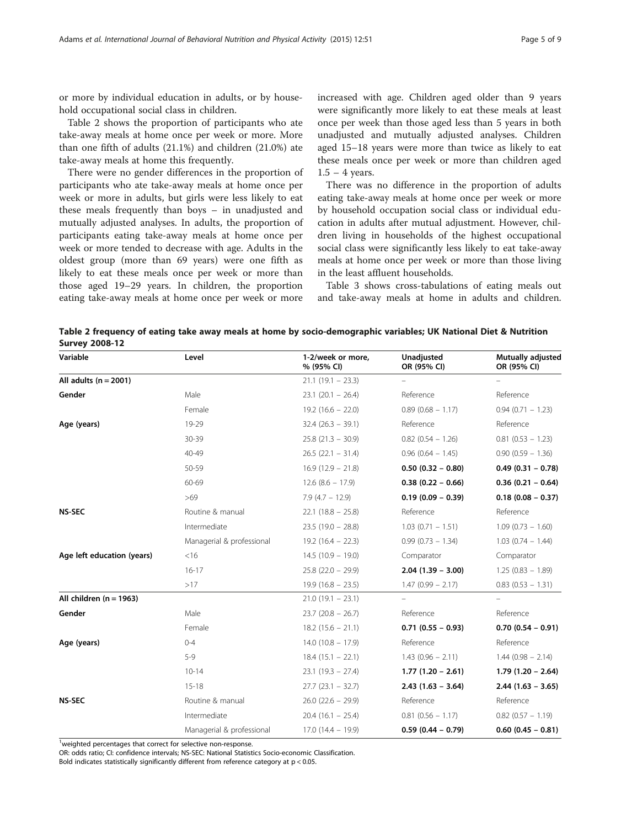or more by individual education in adults, or by household occupational social class in children.

Table 2 shows the proportion of participants who ate take-away meals at home once per week or more. More than one fifth of adults (21.1%) and children (21.0%) ate take-away meals at home this frequently.

There were no gender differences in the proportion of participants who ate take-away meals at home once per week or more in adults, but girls were less likely to eat these meals frequently than boys – in unadjusted and mutually adjusted analyses. In adults, the proportion of participants eating take-away meals at home once per week or more tended to decrease with age. Adults in the oldest group (more than 69 years) were one fifth as likely to eat these meals once per week or more than those aged 19–29 years. In children, the proportion eating take-away meals at home once per week or more

increased with age. Children aged older than 9 years were significantly more likely to eat these meals at least once per week than those aged less than 5 years in both unadjusted and mutually adjusted analyses. Children aged 15–18 years were more than twice as likely to eat these meals once per week or more than children aged  $1.5 - 4$  years.

There was no difference in the proportion of adults eating take-away meals at home once per week or more by household occupation social class or individual education in adults after mutual adjustment. However, children living in households of the highest occupational social class were significantly less likely to eat take-away meals at home once per week or more than those living in the least affluent households.

Table [3](#page-6-0) shows cross-tabulations of eating meals out and take-away meals at home in adults and children.

Table 2 frequency of eating take away meals at home by socio-demographic variables; UK National Diet & Nutrition Survey 2008-12

| Variable                    | Level                     | 1-2/week or more,<br>% (95% CI) | Unadjusted<br>OR (95% CI) | Mutually adjusted<br>OR (95% CI) |
|-----------------------------|---------------------------|---------------------------------|---------------------------|----------------------------------|
| All adults $(n = 2001)$     |                           | $21.1(19.1 - 23.3)$             |                           |                                  |
| Gender                      | Male                      | $23.1 (20.1 - 26.4)$            | Reference                 | Reference                        |
|                             | Female                    | $19.2(16.6 - 22.0)$             | $0.89$ (0.68 - 1.17)      | $0.94(0.71 - 1.23)$              |
| Age (years)                 | 19-29                     | $32.4(26.3 - 39.1)$             | Reference                 | Reference                        |
|                             | 30-39                     | $25.8(21.3 - 30.9)$             | $0.82$ (0.54 - 1.26)      | $0.81$ $(0.53 - 1.23)$           |
|                             | 40-49                     | $26.5(22.1 - 31.4)$             | $0.96$ (0.64 - 1.45)      | $0.90(0.59 - 1.36)$              |
|                             | 50-59                     | $16.9(12.9 - 21.8)$             | $0.50(0.32 - 0.80)$       | $0.49$ (0.31 - 0.78)             |
|                             | 60-69                     | $12.6(8.6 - 17.9)$              | $0.38(0.22 - 0.66)$       | $0.36(0.21 - 0.64)$              |
|                             | >69                       | $7.9(4.7 - 12.9)$               | $0.19(0.09 - 0.39)$       | $0.18$ (0.08 - 0.37)             |
| <b>NS-SEC</b>               | Routine & manual          | $22.1(18.8 - 25.8)$             | Reference                 | Reference                        |
|                             | Intermediate              | $23.5(19.0 - 28.8)$             | $1.03(0.71 - 1.51)$       | $1.09(0.73 - 1.60)$              |
|                             | Managerial & professional | $19.2(16.4 - 22.3)$             | $0.99(0.73 - 1.34)$       | $1.03(0.74 - 1.44)$              |
| Age left education (years)  | $<$ 16                    | $14.5(10.9 - 19.0)$             | Comparator                | Comparator                       |
|                             | $16 - 17$                 | $25.8(22.0 - 29.9)$             | $2.04(1.39 - 3.00)$       | $1.25(0.83 - 1.89)$              |
|                             | >17                       | $19.9(16.8 - 23.5)$             | $1.47(0.99 - 2.17)$       | $0.83(0.53 - 1.31)$              |
| All children ( $n = 1963$ ) |                           | $21.0(19.1 - 23.1)$             | $\overline{\phantom{0}}$  | $\equiv$                         |
| Gender                      | Male                      | $23.7(20.8 - 26.7)$             | Reference                 | Reference                        |
|                             | Female                    | $18.2(15.6 - 21.1)$             | $0.71$ (0.55 - 0.93)      | $0.70(0.54 - 0.91)$              |
| Age (years)                 | $0 - 4$                   | $14.0(10.8 - 17.9)$             | Reference                 | Reference                        |
|                             | $5 - 9$                   | $18.4(15.1 - 22.1)$             | $1.43(0.96 - 2.11)$       | $1.44(0.98 - 2.14)$              |
|                             | $10 - 14$                 | $23.1(19.3 - 27.4)$             | $1.77(1.20 - 2.61)$       | $1.79(1.20 - 2.64)$              |
|                             | $15 - 18$                 | $27.7$ (23.1 - 32.7)            | $2.43$ (1.63 - 3.64)      | $2.44$ (1.63 - 3.65)             |
| <b>NS-SEC</b>               | Routine & manual          | $26.0$ (22.6 - 29.9)            | Reference                 | Reference                        |
|                             | Intermediate              | $20.4(16.1 - 25.4)$             | $0.81$ (0.56 - 1.17)      | $0.82(0.57 - 1.19)$              |
|                             | Managerial & professional | $17.0(14.4 - 19.9)$             | $0.59(0.44 - 0.79)$       | $0.60$ (0.45 - 0.81)             |

<sup>1</sup> weighted percentages that correct for selective non-response.

OR: odds ratio; CI: confidence intervals; NS-SEC: National Statistics Socio-economic Classification.

Bold indicates statistically significantly different from reference category at p < 0.05.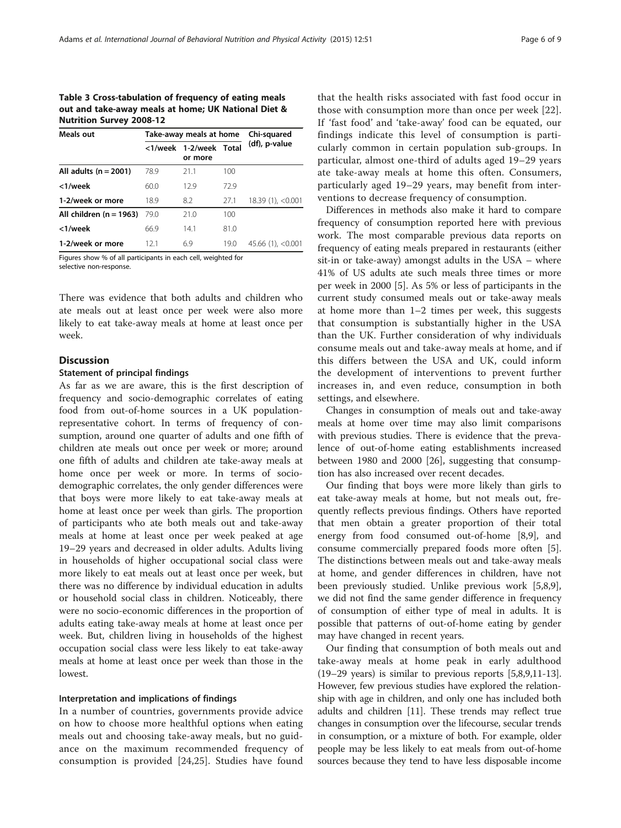#### <span id="page-6-0"></span>Table 3 Cross-tabulation of frequency of eating meals out and take-away meals at home; UK National Diet & Nutrition Survey 2008-12

| Meals out                 | Take-away meals at home |                                   |      | Chi-squared         |  |
|---------------------------|-------------------------|-----------------------------------|------|---------------------|--|
|                           |                         | <1/week 1-2/week Total<br>or more |      | (df), p-value       |  |
| All adults $(n = 2001)$   | 78.9                    | 21.1                              | 100  |                     |  |
| <1/week                   | 60.0                    | 12.9                              | 72.9 |                     |  |
| 1-2/week or more          | 18.9                    | 8.2                               | 27.1 | 18.39 (1), <0.001   |  |
| All children $(n = 1963)$ | 79 O                    | 21.0                              | 100  |                     |  |
| <1/week                   | 66.9                    | 14.1                              | 81.0 |                     |  |
| 1-2/week or more          | 121                     | 6.9                               | 19.0 | $45.66(1)$ , <0.001 |  |

Figures show % of all participants in each cell, weighted for selective non-response.

There was evidence that both adults and children who ate meals out at least once per week were also more likely to eat take-away meals at home at least once per week.

#### **Discussion**

#### Statement of principal findings

As far as we are aware, this is the first description of frequency and socio-demographic correlates of eating food from out-of-home sources in a UK populationrepresentative cohort. In terms of frequency of consumption, around one quarter of adults and one fifth of children ate meals out once per week or more; around one fifth of adults and children ate take-away meals at home once per week or more. In terms of sociodemographic correlates, the only gender differences were that boys were more likely to eat take-away meals at home at least once per week than girls. The proportion of participants who ate both meals out and take-away meals at home at least once per week peaked at age 19–29 years and decreased in older adults. Adults living in households of higher occupational social class were more likely to eat meals out at least once per week, but there was no difference by individual education in adults or household social class in children. Noticeably, there were no socio-economic differences in the proportion of adults eating take-away meals at home at least once per week. But, children living in households of the highest occupation social class were less likely to eat take-away meals at home at least once per week than those in the lowest.

#### Interpretation and implications of findings

In a number of countries, governments provide advice on how to choose more healthful options when eating meals out and choosing take-away meals, but no guidance on the maximum recommended frequency of consumption is provided [[24,25](#page-9-0)]. Studies have found

that the health risks associated with fast food occur in those with consumption more than once per week [[22](#page-9-0)]. If 'fast food' and 'take-away' food can be equated, our findings indicate this level of consumption is particularly common in certain population sub-groups. In particular, almost one-third of adults aged 19–29 years ate take-away meals at home this often. Consumers, particularly aged 19–29 years, may benefit from interventions to decrease frequency of consumption.

Differences in methods also make it hard to compare frequency of consumption reported here with previous work. The most comparable previous data reports on frequency of eating meals prepared in restaurants (either sit-in or take-away) amongst adults in the USA – where 41% of US adults ate such meals three times or more per week in 2000 [\[5](#page-8-0)]. As 5% or less of participants in the current study consumed meals out or take-away meals at home more than 1–2 times per week, this suggests that consumption is substantially higher in the USA than the UK. Further consideration of why individuals consume meals out and take-away meals at home, and if this differs between the USA and UK, could inform the development of interventions to prevent further increases in, and even reduce, consumption in both settings, and elsewhere.

Changes in consumption of meals out and take-away meals at home over time may also limit comparisons with previous studies. There is evidence that the prevalence of out-of-home eating establishments increased between 1980 and 2000 [[26\]](#page-9-0), suggesting that consumption has also increased over recent decades.

Our finding that boys were more likely than girls to eat take-away meals at home, but not meals out, frequently reflects previous findings. Others have reported that men obtain a greater proportion of their total energy from food consumed out-of-home [[8,](#page-8-0)[9\]](#page-9-0), and consume commercially prepared foods more often [\[5](#page-8-0)]. The distinctions between meals out and take-away meals at home, and gender differences in children, have not been previously studied. Unlike previous work [\[5,8](#page-8-0)[,9](#page-9-0)], we did not find the same gender difference in frequency of consumption of either type of meal in adults. It is possible that patterns of out-of-home eating by gender may have changed in recent years.

Our finding that consumption of both meals out and take-away meals at home peak in early adulthood (19–29 years) is similar to previous reports [\[5,8,](#page-8-0)[9,11](#page-9-0)-[13](#page-9-0)]. However, few previous studies have explored the relationship with age in children, and only one has included both adults and children [\[11](#page-9-0)]. These trends may reflect true changes in consumption over the lifecourse, secular trends in consumption, or a mixture of both. For example, older people may be less likely to eat meals from out-of-home sources because they tend to have less disposable income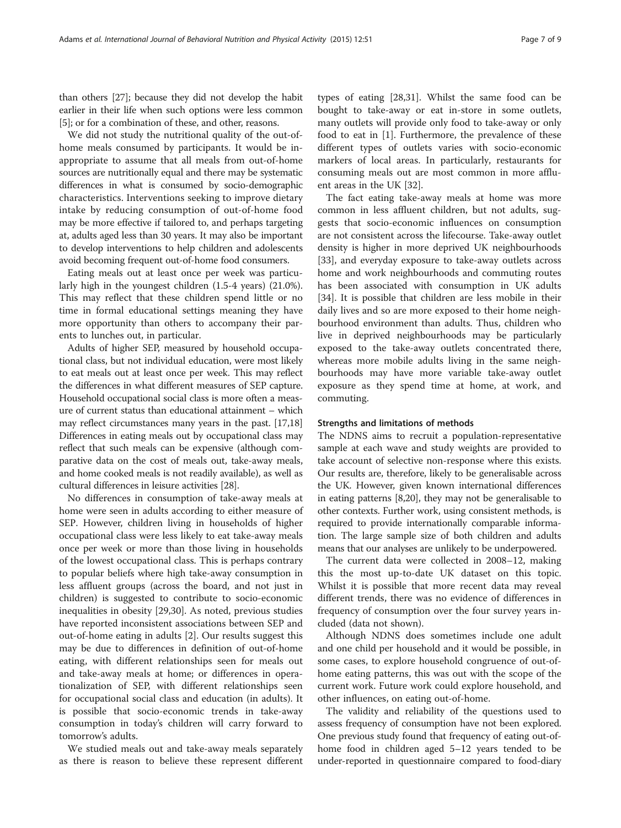than others [\[27](#page-9-0)]; because they did not develop the habit earlier in their life when such options were less common [[5\]](#page-8-0); or for a combination of these, and other, reasons.

We did not study the nutritional quality of the out-ofhome meals consumed by participants. It would be inappropriate to assume that all meals from out-of-home sources are nutritionally equal and there may be systematic differences in what is consumed by socio-demographic characteristics. Interventions seeking to improve dietary intake by reducing consumption of out-of-home food may be more effective if tailored to, and perhaps targeting at, adults aged less than 30 years. It may also be important to develop interventions to help children and adolescents avoid becoming frequent out-of-home food consumers.

Eating meals out at least once per week was particularly high in the youngest children (1.5-4 years) (21.0%). This may reflect that these children spend little or no time in formal educational settings meaning they have more opportunity than others to accompany their parents to lunches out, in particular.

Adults of higher SEP, measured by household occupational class, but not individual education, were most likely to eat meals out at least once per week. This may reflect the differences in what different measures of SEP capture. Household occupational social class is more often a measure of current status than educational attainment – which may reflect circumstances many years in the past. [\[17,18](#page-9-0)] Differences in eating meals out by occupational class may reflect that such meals can be expensive (although comparative data on the cost of meals out, take-away meals, and home cooked meals is not readily available), as well as cultural differences in leisure activities [[28](#page-9-0)].

No differences in consumption of take-away meals at home were seen in adults according to either measure of SEP. However, children living in households of higher occupational class were less likely to eat take-away meals once per week or more than those living in households of the lowest occupational class. This is perhaps contrary to popular beliefs where high take-away consumption in less affluent groups (across the board, and not just in children) is suggested to contribute to socio-economic inequalities in obesity [[29,30\]](#page-9-0). As noted, previous studies have reported inconsistent associations between SEP and out-of-home eating in adults [\[2](#page-8-0)]. Our results suggest this may be due to differences in definition of out-of-home eating, with different relationships seen for meals out and take-away meals at home; or differences in operationalization of SEP, with different relationships seen for occupational social class and education (in adults). It is possible that socio-economic trends in take-away consumption in today's children will carry forward to tomorrow's adults.

We studied meals out and take-away meals separately as there is reason to believe these represent different types of eating [\[28,31\]](#page-9-0). Whilst the same food can be bought to take-away or eat in-store in some outlets, many outlets will provide only food to take-away or only food to eat in [[1\]](#page-8-0). Furthermore, the prevalence of these different types of outlets varies with socio-economic markers of local areas. In particularly, restaurants for consuming meals out are most common in more affluent areas in the UK [[32\]](#page-9-0).

The fact eating take-away meals at home was more common in less affluent children, but not adults, suggests that socio-economic influences on consumption are not consistent across the lifecourse. Take-away outlet density is higher in more deprived UK neighbourhoods [[33\]](#page-9-0), and everyday exposure to take-away outlets across home and work neighbourhoods and commuting routes has been associated with consumption in UK adults [[34\]](#page-9-0). It is possible that children are less mobile in their daily lives and so are more exposed to their home neighbourhood environment than adults. Thus, children who live in deprived neighbourhoods may be particularly exposed to the take-away outlets concentrated there, whereas more mobile adults living in the same neighbourhoods may have more variable take-away outlet exposure as they spend time at home, at work, and commuting.

#### Strengths and limitations of methods

The NDNS aims to recruit a population-representative sample at each wave and study weights are provided to take account of selective non-response where this exists. Our results are, therefore, likely to be generalisable across the UK. However, given known international differences in eating patterns [[8,](#page-8-0)[20](#page-9-0)], they may not be generalisable to other contexts. Further work, using consistent methods, is required to provide internationally comparable information. The large sample size of both children and adults means that our analyses are unlikely to be underpowered.

The current data were collected in 2008–12, making this the most up-to-date UK dataset on this topic. Whilst it is possible that more recent data may reveal different trends, there was no evidence of differences in frequency of consumption over the four survey years included (data not shown).

Although NDNS does sometimes include one adult and one child per household and it would be possible, in some cases, to explore household congruence of out-ofhome eating patterns, this was out with the scope of the current work. Future work could explore household, and other influences, on eating out-of-home.

The validity and reliability of the questions used to assess frequency of consumption have not been explored. One previous study found that frequency of eating out-ofhome food in children aged 5–12 years tended to be under-reported in questionnaire compared to food-diary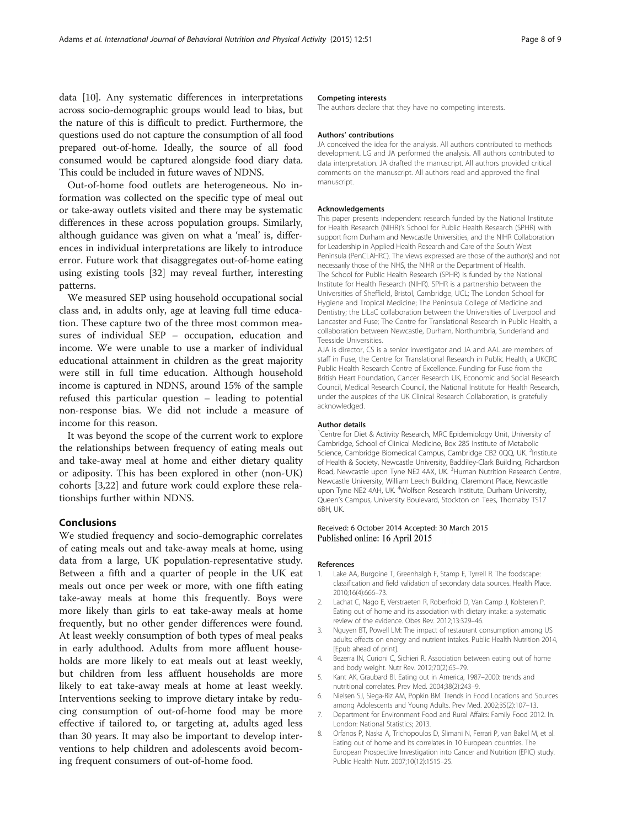<span id="page-8-0"></span>data [\[10\]](#page-9-0). Any systematic differences in interpretations across socio-demographic groups would lead to bias, but the nature of this is difficult to predict. Furthermore, the questions used do not capture the consumption of all food prepared out-of-home. Ideally, the source of all food consumed would be captured alongside food diary data. This could be included in future waves of NDNS.

Out-of-home food outlets are heterogeneous. No information was collected on the specific type of meal out or take-away outlets visited and there may be systematic differences in these across population groups. Similarly, although guidance was given on what a 'meal' is, differences in individual interpretations are likely to introduce error. Future work that disaggregates out-of-home eating using existing tools [[32\]](#page-9-0) may reveal further, interesting patterns.

We measured SEP using household occupational social class and, in adults only, age at leaving full time education. These capture two of the three most common measures of individual SEP – occupation, education and income. We were unable to use a marker of individual educational attainment in children as the great majority were still in full time education. Although household income is captured in NDNS, around 15% of the sample refused this particular question – leading to potential non-response bias. We did not include a measure of income for this reason.

It was beyond the scope of the current work to explore the relationships between frequency of eating meals out and take-away meal at home and either dietary quality or adiposity. This has been explored in other (non-UK) cohorts [3,[22\]](#page-9-0) and future work could explore these relationships further within NDNS.

#### Conclusions

We studied frequency and socio-demographic correlates of eating meals out and take-away meals at home, using data from a large, UK population-representative study. Between a fifth and a quarter of people in the UK eat meals out once per week or more, with one fifth eating take-away meals at home this frequently. Boys were more likely than girls to eat take-away meals at home frequently, but no other gender differences were found. At least weekly consumption of both types of meal peaks in early adulthood. Adults from more affluent households are more likely to eat meals out at least weekly, but children from less affluent households are more likely to eat take-away meals at home at least weekly. Interventions seeking to improve dietary intake by reducing consumption of out-of-home food may be more effective if tailored to, or targeting at, adults aged less than 30 years. It may also be important to develop interventions to help children and adolescents avoid becoming frequent consumers of out-of-home food.

#### Competing interests

The authors declare that they have no competing interests.

#### Authors' contributions

JA conceived the idea for the analysis. All authors contributed to methods development. LG and JA performed the analysis. All authors contributed to data interpretation. JA drafted the manuscript. All authors provided critical comments on the manuscript. All authors read and approved the final manuscript.

#### Acknowledgements

This paper presents independent research funded by the National Institute for Health Research (NIHR)'s School for Public Health Research (SPHR) with support from Durham and Newcastle Universities, and the NIHR Collaboration for Leadership in Applied Health Research and Care of the South West Peninsula (PenCLAHRC). The views expressed are those of the author(s) and not necessarily those of the NHS, the NIHR or the Department of Health. The School for Public Health Research (SPHR) is funded by the National Institute for Health Research (NIHR). SPHR is a partnership between the Universities of Sheffield, Bristol, Cambridge, UCL; The London School for Hygiene and Tropical Medicine; The Peninsula College of Medicine and Dentistry; the LiLaC collaboration between the Universities of Liverpool and Lancaster and Fuse; The Centre for Translational Research in Public Health, a collaboration between Newcastle, Durham, Northumbria, Sunderland and Teesside Universities.

AJA is director, CS is a senior investigator and JA and AAL are members of staff in Fuse, the Centre for Translational Research in Public Health, a UKCRC Public Health Research Centre of Excellence. Funding for Fuse from the British Heart Foundation, Cancer Research UK, Economic and Social Research Council, Medical Research Council, the National Institute for Health Research, under the auspices of the UK Clinical Research Collaboration, is gratefully acknowledged.

#### Author details

<sup>1</sup> Centre for Diet & Activity Research, MRC Epidemiology Unit, University of Cambridge, School of Clinical Medicine, Box 285 Institute of Metabolic Science, Cambridge Biomedical Campus, Cambridge CB2 0QQ, UK. <sup>2</sup>Institute of Health & Society, Newcastle University, Baddiley-Clark Building, Richardson Road, Newcastle upon Tyne NE2 4AX, UK.<sup>3</sup> Human Nutrition Research Centre, Newcastle University, William Leech Building, Claremont Place, Newcastle upon Tyne NE2 4AH, UK. <sup>4</sup>Wolfson Research Institute, Durham University, Queen's Campus, University Boulevard, Stockton on Tees, Thornaby TS17 6BH, UK.

#### Received: 6 October 2014 Accepted: 30 March 2015 Published online: 16 April 2015

#### References

- 1. Lake AA, Burgoine T, Greenhalgh F, Stamp E, Tyrrell R. The foodscape: classification and field validation of secondary data sources. Health Place. 2010;16(4):666–73.
- 2. Lachat C, Nago E, Verstraeten R, Roberfroid D, Van Camp J, Kolsteren P. Eating out of home and its association with dietary intake: a systematic review of the evidence. Obes Rev. 2012;13:329–46.
- 3. Nguyen BT, Powell LM: The impact of restaurant consumption among US adults: effects on energy and nutrient intakes. Public Health Nutrition 2014, [Epub ahead of print].
- 4. Bezerra IN, Curioni C, Sichieri R. Association between eating out of home and body weight. Nutr Rev. 2012;70(2):65–79.
- Kant AK, Graubard BI. Eating out in America, 1987–2000: trends and nutritional correlates. Prev Med. 2004;38(2):243–9.
- 6. Nielsen SJ, Siega-Riz AM, Popkin BM. Trends in Food Locations and Sources among Adolescents and Young Adults. Prev Med. 2002;35(2):107–13.
- 7. Department for Environment Food and Rural Affairs: Family Food 2012. In. London: National Statistics; 2013.
- 8. Orfanos P, Naska A, Trichopoulos D, Slimani N, Ferrari P, van Bakel M, et al. Eating out of home and its correlates in 10 European countries. The European Prospective Investigation into Cancer and Nutrition (EPIC) study. Public Health Nutr. 2007;10(12):1515–25.